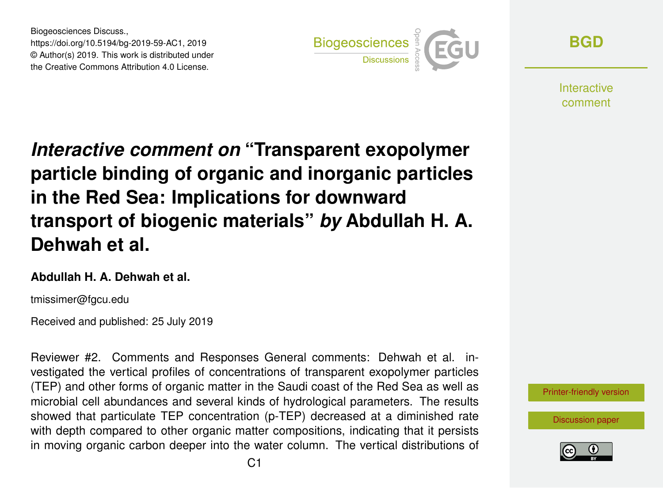Biogeosciences Discuss., https://doi.org/10.5194/bg-2019-59-AC1, 2019 © Author(s) 2019. This work is distributed under the Creative Commons Attribution 4.0 License.



**[BGD](https://www.biogeosciences-discuss.net/)**

**Interactive** comment

*Interactive comment on* **"Transparent exopolymer particle binding of organic and inorganic particles in the Red Sea: Implications for downward transport of biogenic materials"** *by* **Abdullah H. A. Dehwah et al.**

#### **Abdullah H. A. Dehwah et al.**

tmissimer@fgcu.edu

Received and published: 25 July 2019

Reviewer #2. Comments and Responses General comments: Dehwah et al. investigated the vertical profiles of concentrations of transparent exopolymer particles (TEP) and other forms of organic matter in the Saudi coast of the Red Sea as well as microbial cell abundances and several kinds of hydrological parameters. The results showed that particulate TEP concentration (p-TEP) decreased at a diminished rate with depth compared to other organic matter compositions, indicating that it persists in moving organic carbon deeper into the water column. The vertical distributions of



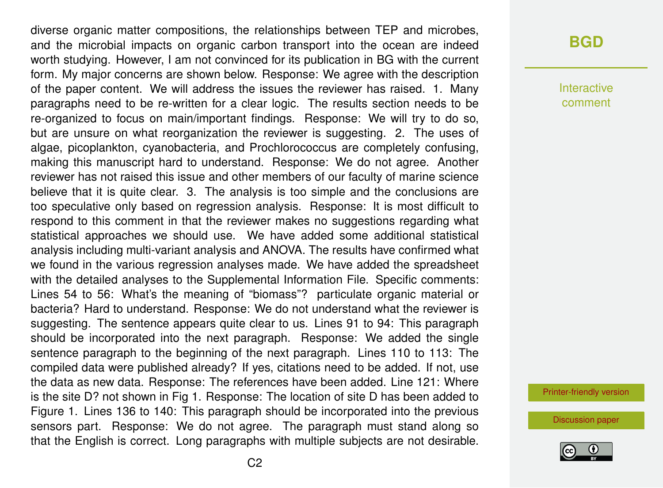diverse organic matter compositions, the relationships between TEP and microbes, and the microbial impacts on organic carbon transport into the ocean are indeed worth studying. However, I am not convinced for its publication in BG with the current form. My major concerns are shown below. Response: We agree with the description of the paper content. We will address the issues the reviewer has raised. 1. Many paragraphs need to be re-written for a clear logic. The results section needs to be re-organized to focus on main/important findings. Response: We will try to do so, but are unsure on what reorganization the reviewer is suggesting. 2. The uses of algae, picoplankton, cyanobacteria, and Prochlorococcus are completely confusing, making this manuscript hard to understand. Response: We do not agree. Another reviewer has not raised this issue and other members of our faculty of marine science believe that it is quite clear. 3. The analysis is too simple and the conclusions are too speculative only based on regression analysis. Response: It is most difficult to respond to this comment in that the reviewer makes no suggestions regarding what statistical approaches we should use. We have added some additional statistical analysis including multi-variant analysis and ANOVA. The results have confirmed what we found in the various regression analyses made. We have added the spreadsheet with the detailed analyses to the Supplemental Information File. Specific comments: Lines 54 to 56: What's the meaning of "biomass"? particulate organic material or bacteria? Hard to understand. Response: We do not understand what the reviewer is suggesting. The sentence appears quite clear to us. Lines 91 to 94: This paragraph should be incorporated into the next paragraph. Response: We added the single sentence paragraph to the beginning of the next paragraph. Lines 110 to 113: The compiled data were published already? If yes, citations need to be added. If not, use the data as new data. Response: The references have been added. Line 121: Where is the site D? not shown in Fig 1. Response: The location of site D has been added to Figure 1. Lines 136 to 140: This paragraph should be incorporated into the previous sensors part. Response: We do not agree. The paragraph must stand along so that the English is correct. Long paragraphs with multiple subjects are not desirable.

#### **[BGD](https://www.biogeosciences-discuss.net/)**

Interactive comment

[Printer-friendly version](https://www.biogeosciences-discuss.net/bg-2019-59/bg-2019-59-AC1-print.pdf)

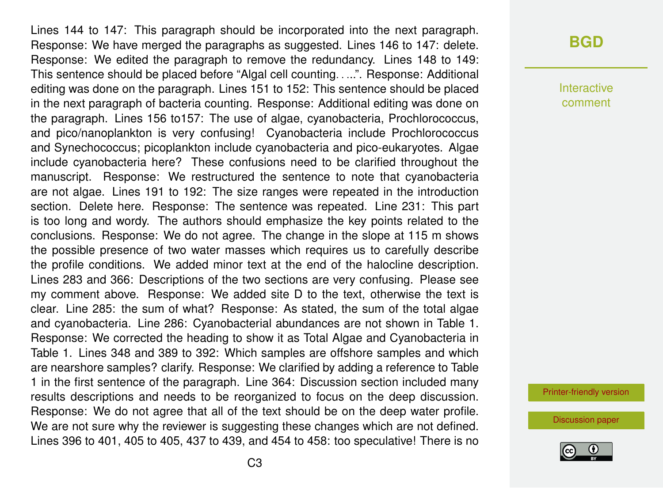Lines 144 to 147: This paragraph should be incorporated into the next paragraph. Response: We have merged the paragraphs as suggested. Lines 146 to 147: delete. Response: We edited the paragraph to remove the redundancy. Lines 148 to 149: This sentence should be placed before "Algal cell counting. . ...". Response: Additional editing was done on the paragraph. Lines 151 to 152: This sentence should be placed in the next paragraph of bacteria counting. Response: Additional editing was done on the paragraph. Lines 156 to157: The use of algae, cyanobacteria, Prochlorococcus, and pico/nanoplankton is very confusing! Cyanobacteria include Prochlorococcus and Synechococcus; picoplankton include cyanobacteria and pico-eukaryotes. Algae include cyanobacteria here? These confusions need to be clarified throughout the manuscript. Response: We restructured the sentence to note that cyanobacteria are not algae. Lines 191 to 192: The size ranges were repeated in the introduction section. Delete here. Response: The sentence was repeated. Line 231: This part is too long and wordy. The authors should emphasize the key points related to the conclusions. Response: We do not agree. The change in the slope at 115 m shows the possible presence of two water masses which requires us to carefully describe the profile conditions. We added minor text at the end of the halocline description. Lines 283 and 366: Descriptions of the two sections are very confusing. Please see my comment above. Response: We added site D to the text, otherwise the text is clear. Line 285: the sum of what? Response: As stated, the sum of the total algae and cyanobacteria. Line 286: Cyanobacterial abundances are not shown in Table 1. Response: We corrected the heading to show it as Total Algae and Cyanobacteria in Table 1. Lines 348 and 389 to 392: Which samples are offshore samples and which are nearshore samples? clarify. Response: We clarified by adding a reference to Table 1 in the first sentence of the paragraph. Line 364: Discussion section included many results descriptions and needs to be reorganized to focus on the deep discussion. Response: We do not agree that all of the text should be on the deep water profile. We are not sure why the reviewer is suggesting these changes which are not defined. Lines 396 to 401, 405 to 405, 437 to 439, and 454 to 458: too speculative! There is no

### **[BGD](https://www.biogeosciences-discuss.net/)**

Interactive comment

[Printer-friendly version](https://www.biogeosciences-discuss.net/bg-2019-59/bg-2019-59-AC1-print.pdf)

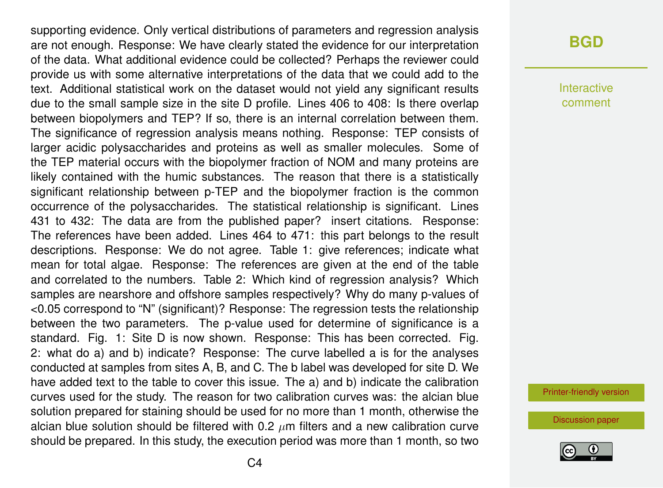supporting evidence. Only vertical distributions of parameters and regression analysis are not enough. Response: We have clearly stated the evidence for our interpretation of the data. What additional evidence could be collected? Perhaps the reviewer could provide us with some alternative interpretations of the data that we could add to the text. Additional statistical work on the dataset would not yield any significant results due to the small sample size in the site D profile. Lines 406 to 408: Is there overlap between biopolymers and TEP? If so, there is an internal correlation between them. The significance of regression analysis means nothing. Response: TEP consists of larger acidic polysaccharides and proteins as well as smaller molecules. Some of the TEP material occurs with the biopolymer fraction of NOM and many proteins are likely contained with the humic substances. The reason that there is a statistically significant relationship between p-TEP and the biopolymer fraction is the common occurrence of the polysaccharides. The statistical relationship is significant. Lines 431 to 432: The data are from the published paper? insert citations. Response: The references have been added. Lines 464 to 471: this part belongs to the result descriptions. Response: We do not agree. Table 1: give references; indicate what mean for total algae. Response: The references are given at the end of the table and correlated to the numbers. Table 2: Which kind of regression analysis? Which samples are nearshore and offshore samples respectively? Why do many p-values of <0.05 correspond to "N" (significant)? Response: The regression tests the relationship between the two parameters. The p-value used for determine of significance is a standard. Fig. 1: Site D is now shown. Response: This has been corrected. Fig. 2: what do a) and b) indicate? Response: The curve labelled a is for the analyses conducted at samples from sites A, B, and C. The b label was developed for site D. We have added text to the table to cover this issue. The a) and b) indicate the calibration curves used for the study. The reason for two calibration curves was: the alcian blue solution prepared for staining should be used for no more than 1 month, otherwise the alcian blue solution should be filtered with 0.2  $\mu$ m filters and a new calibration curve should be prepared. In this study, the execution period was more than 1 month, so two

## **[BGD](https://www.biogeosciences-discuss.net/)**

Interactive comment

[Printer-friendly version](https://www.biogeosciences-discuss.net/bg-2019-59/bg-2019-59-AC1-print.pdf)